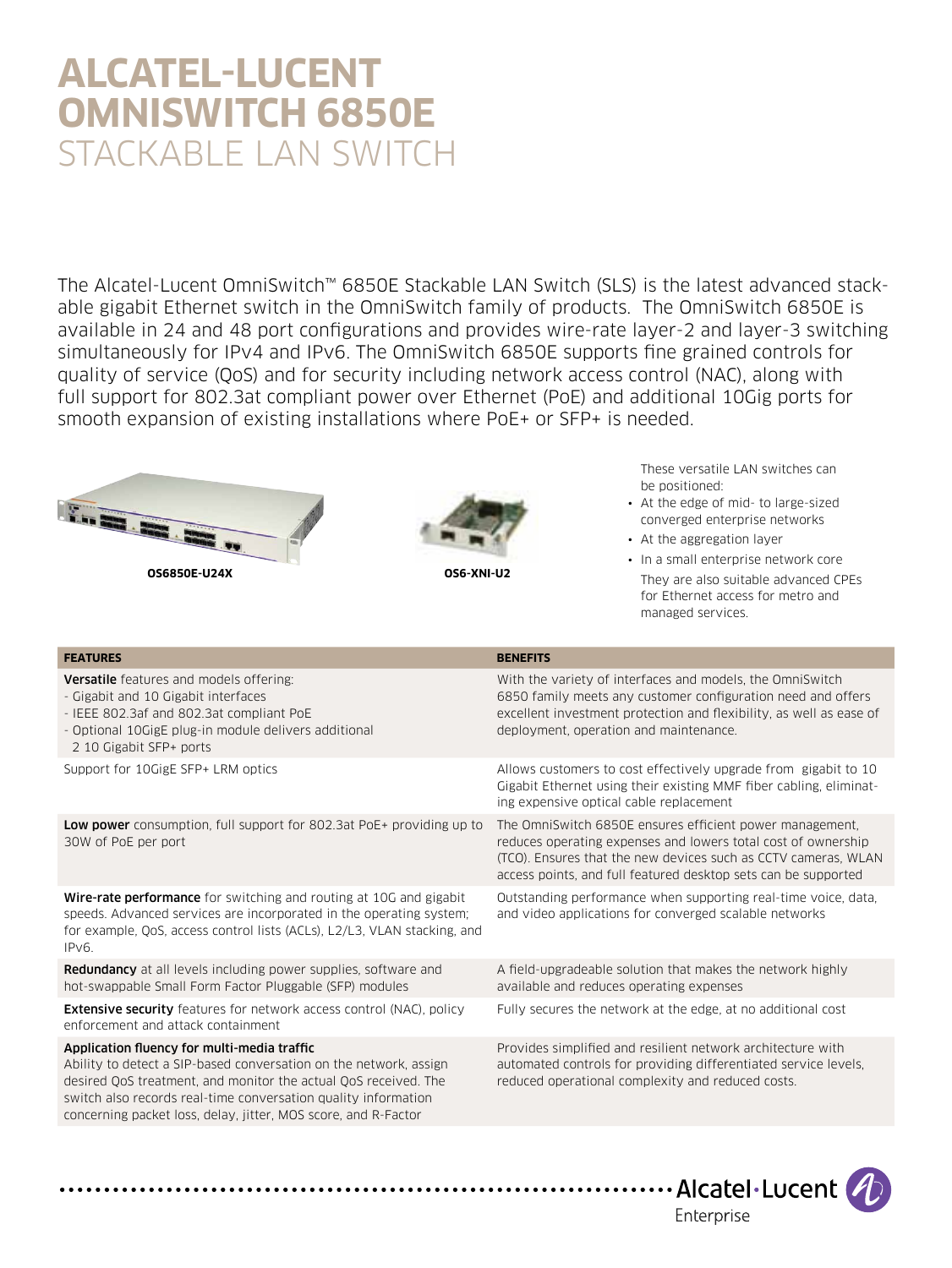# **Alcatel-Lucent OmniSwitch 6850E** STACKABLE LAN SWITCH

The Alcatel-Lucent OmniSwitch™ 6850E Stackable LAN Switch (SLS) is the latest advanced stackable gigabit Ethernet switch in the OmniSwitch family of products. The OmniSwitch 6850E is available in 24 and 48 port configurations and provides wire-rate layer-2 and layer-3 switching simultaneously for IPv4 and IPv6. The OmniSwitch 6850E supports fine grained controls for quality of service (QoS) and for security including network access control (NAC), along with full support for 802.3at compliant power over Ethernet (PoE) and additional 10Gig ports for smooth expansion of existing installations where PoE+ or SFP+ is needed.





These versatile LAN switches can be positioned:

- At the edge of mid- to large-sized converged enterprise networks
- At the aggregation layer
- In a small enterprise network core They are also suitable advanced CPEs for Ethernet access for metro and managed services.

| <b>FEATURES</b>                                                                                                                                                                                                                                                                                                         | <b>BENEFITS</b>                                                                                                                                                                                                                                               |
|-------------------------------------------------------------------------------------------------------------------------------------------------------------------------------------------------------------------------------------------------------------------------------------------------------------------------|---------------------------------------------------------------------------------------------------------------------------------------------------------------------------------------------------------------------------------------------------------------|
| <b>Versatile</b> features and models offering:<br>- Gigabit and 10 Gigabit interfaces<br>- IEEE 802.3af and 802.3at compliant PoE<br>- Optional 10GigE plug-in module delivers additional<br>2 10 Gigabit SFP+ ports                                                                                                    | With the variety of interfaces and models, the OmniSwitch<br>6850 family meets any customer configuration need and offers<br>excellent investment protection and flexibility, as well as ease of<br>deployment, operation and maintenance.                    |
| Support for 10GigE SFP+ LRM optics                                                                                                                                                                                                                                                                                      | Allows customers to cost effectively upgrade from gigabit to 10<br>Gigabit Ethernet using their existing MMF fiber cabling, eliminat-<br>ing expensive optical cable replacement                                                                              |
| Low power consumption, full support for 802.3at PoE+ providing up to<br>30W of PoE per port                                                                                                                                                                                                                             | The OmniSwitch 6850E ensures efficient power management.<br>reduces operating expenses and lowers total cost of ownership<br>(TCO). Ensures that the new devices such as CCTV cameras, WLAN<br>access points, and full featured desktop sets can be supported |
| <b>Wire-rate performance</b> for switching and routing at 10G and gigabit<br>speeds. Advanced services are incorporated in the operating system;<br>for example, QoS, access control lists (ACLs), L2/L3, VLAN stacking, and<br>IPv6.                                                                                   | Outstanding performance when supporting real-time voice, data,<br>and video applications for converged scalable networks                                                                                                                                      |
| <b>Redundancy</b> at all levels including power supplies, software and<br>hot-swappable Small Form Factor Pluggable (SFP) modules                                                                                                                                                                                       | A field-upgradeable solution that makes the network highly<br>available and reduces operating expenses                                                                                                                                                        |
| <b>Extensive security</b> features for network access control (NAC), policy<br>enforcement and attack containment                                                                                                                                                                                                       | Fully secures the network at the edge, at no additional cost                                                                                                                                                                                                  |
| Application fluency for multi-media traffic<br>Ability to detect a SIP-based conversation on the network, assign<br>desired QoS treatment, and monitor the actual QoS received. The<br>switch also records real-time conversation quality information<br>concerning packet loss, delay, jitter, MOS score, and R-Factor | Provides simplified and resilient network architecture with<br>automated controls for providing differentiated service levels.<br>reduced operational complexity and reduced costs.                                                                           |

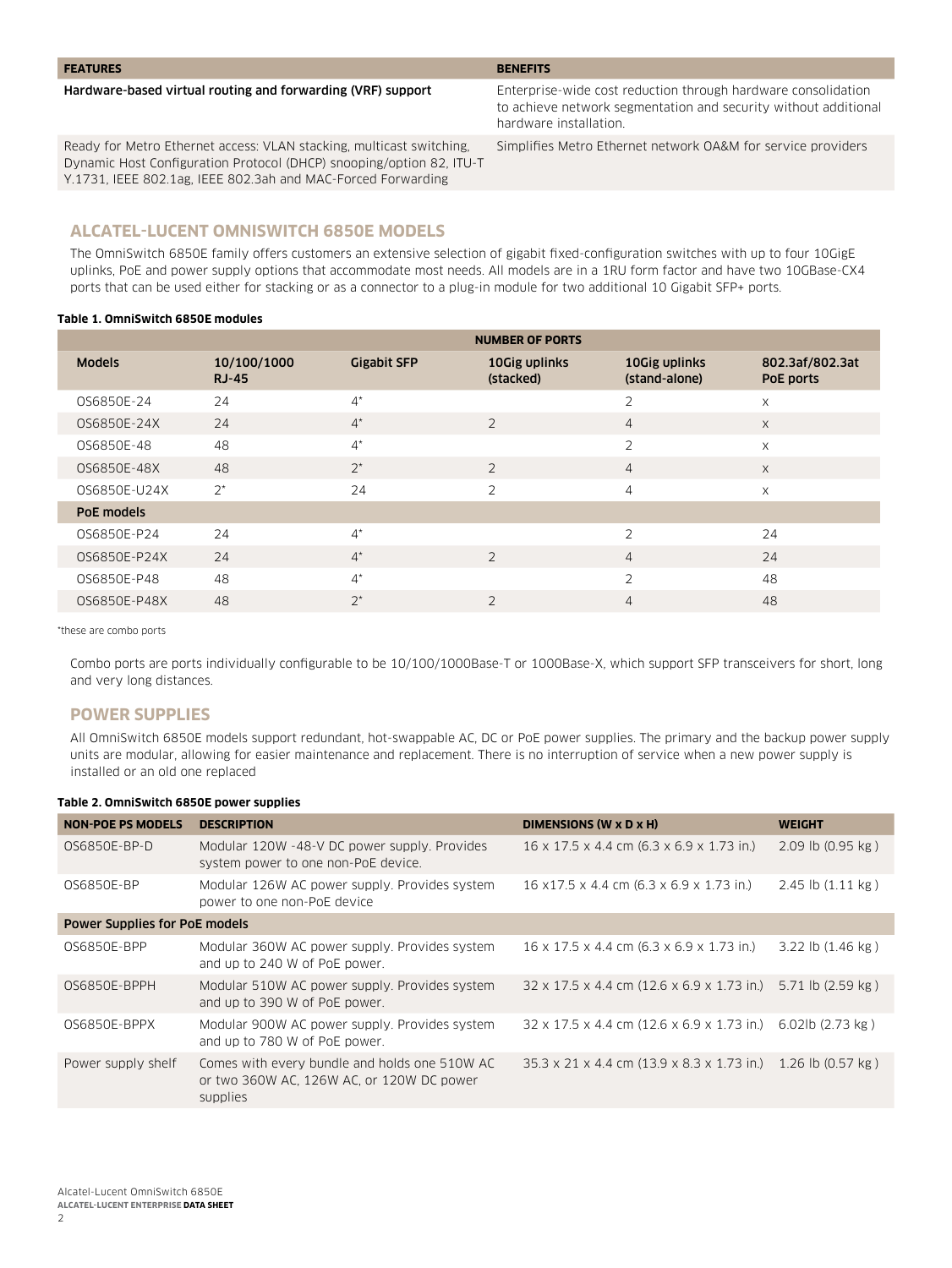#### **FEATURES BENEFITS**

#### Hardware-based virtual routing and forwarding (VRF) support Enterprise-wide cost reduction through hardware consolidation

Ready for Metro Ethernet access: VLAN stacking, multicast switching, Dynamic Host Configuration Protocol (DHCP) snooping/option 82, ITU-T Y.1731, IEEE 802.1ag, IEEE 802.3ah and MAC-Forced Forwarding

Simplifies Metro Ethernet network OA&M for service providers

to achieve network segmentation and security without additional

# **Alcatel-Lucent OmniSwitch 6850E Models**

The OmniSwitch 6850E family offers customers an extensive selection of gigabit fixed-configuration switches with up to four 10GigE uplinks, PoE and power supply options that accommodate most needs. All models are in a 1RU form factor and have two 10GBase-CX4 ports that can be used either for stacking or as a connector to a plug-in module for two additional 10 Gigabit SFP+ ports.

hardware installation.

#### **Table 1. OmniSwitch 6850E modules**

|               | <b>NUMBER OF PORTS</b>      |                    |                            |                                |                              |
|---------------|-----------------------------|--------------------|----------------------------|--------------------------------|------------------------------|
| <b>Models</b> | 10/100/1000<br><b>RJ-45</b> | <b>Gigabit SFP</b> | 10Gig uplinks<br>(stacked) | 10Gig uplinks<br>(stand-alone) | 802.3af/802.3at<br>PoE ports |
| OS6850E-24    | 24                          | $4^*$              |                            | $\overline{2}$                 | X                            |
| OS6850E-24X   | 24                          | $4^*$              | $\overline{2}$             | $\overline{4}$                 | X                            |
| OS6850E-48    | 48                          | $4^*$              |                            | $\overline{2}$                 | X                            |
| OS6850E-48X   | 48                          | $2^*$              | $\overline{2}$             | $\overline{4}$                 | X                            |
| OS6850E-U24X  | $2^*$                       | 24                 | $\mathfrak{D}$             | 4                              | X                            |
| PoE models    |                             |                    |                            |                                |                              |
| OS6850E-P24   | 24                          | $4^*$              |                            | $\overline{2}$                 | 24                           |
| OS6850E-P24X  | 24                          | $4^*$              | $\overline{2}$             | $\overline{4}$                 | 24                           |
| OS6850E-P48   | 48                          | $4^*$              |                            | $\overline{2}$                 | 48                           |
| OS6850E-P48X  | 48                          | $2^*$              | $\overline{2}$             | $\overline{4}$                 | 48                           |

\*these are combo ports

Combo ports are ports individually configurable to be 10/100/1000Base-T or 1000Base-X, which support SFP transceivers for short, long and very long distances.

## **Power supplies**

All OmniSwitch 6850E models support redundant, hot-swappable AC, DC or PoE power supplies. The primary and the backup power supply units are modular, allowing for easier maintenance and replacement. There is no interruption of service when a new power supply is installed or an old one replaced

#### **Table 2. OmniSwitch 6850E power supplies**

| <b>NON-POE PS MODELS</b>             | <b>DESCRIPTION</b>                                                                                     | DIMENSIONS (W x D x H)                                       | <b>WEIGHT</b>                 |
|--------------------------------------|--------------------------------------------------------------------------------------------------------|--------------------------------------------------------------|-------------------------------|
| OS6850E-BP-D                         | Modular 120W -48-V DC power supply. Provides<br>system power to one non-PoE device.                    | 16 x 17.5 x 4.4 cm (6.3 x 6.9 x 1.73 in.)                    | $2.09$ lb $(0.95$ kg)         |
| 0S6850E-BP                           | Modular 126W AC power supply. Provides system<br>power to one non-PoE device                           | 16 x 17.5 x 4.4 cm (6.3 x 6.9 x 1.73 in.)                    | $2.45$ lb $(1.11 \text{ kg})$ |
| <b>Power Supplies for PoE models</b> |                                                                                                        |                                                              |                               |
| OS6850E-BPP                          | Modular 360W AC power supply. Provides system<br>and up to 240 W of PoE power.                         | 16 x 17.5 x 4.4 cm (6.3 x 6.9 x 1.73 in.)                    | 3.22 lb (1.46 kg)             |
| 0S6850E-BPPH                         | Modular 510W AC power supply. Provides system<br>and up to 390 W of PoE power.                         | 32 x 17.5 x 4.4 cm (12.6 x 6.9 x 1.73 in.) 5.71 lb (2.59 kg) |                               |
| OS6850E-BPPX                         | Modular 900W AC power supply. Provides system<br>and up to 780 W of PoE power.                         | 32 x 17.5 x 4.4 cm (12.6 x 6.9 x 1.73 in.)                   | 6.02lb (2.73 kg)              |
| Power supply shelf                   | Comes with every bundle and holds one 510W AC<br>or two 360W AC, 126W AC, or 120W DC power<br>supplies | 35.3 x 21 x 4.4 cm (13.9 x 8.3 x 1.73 in.) 1.26 lb (0.57 kg) |                               |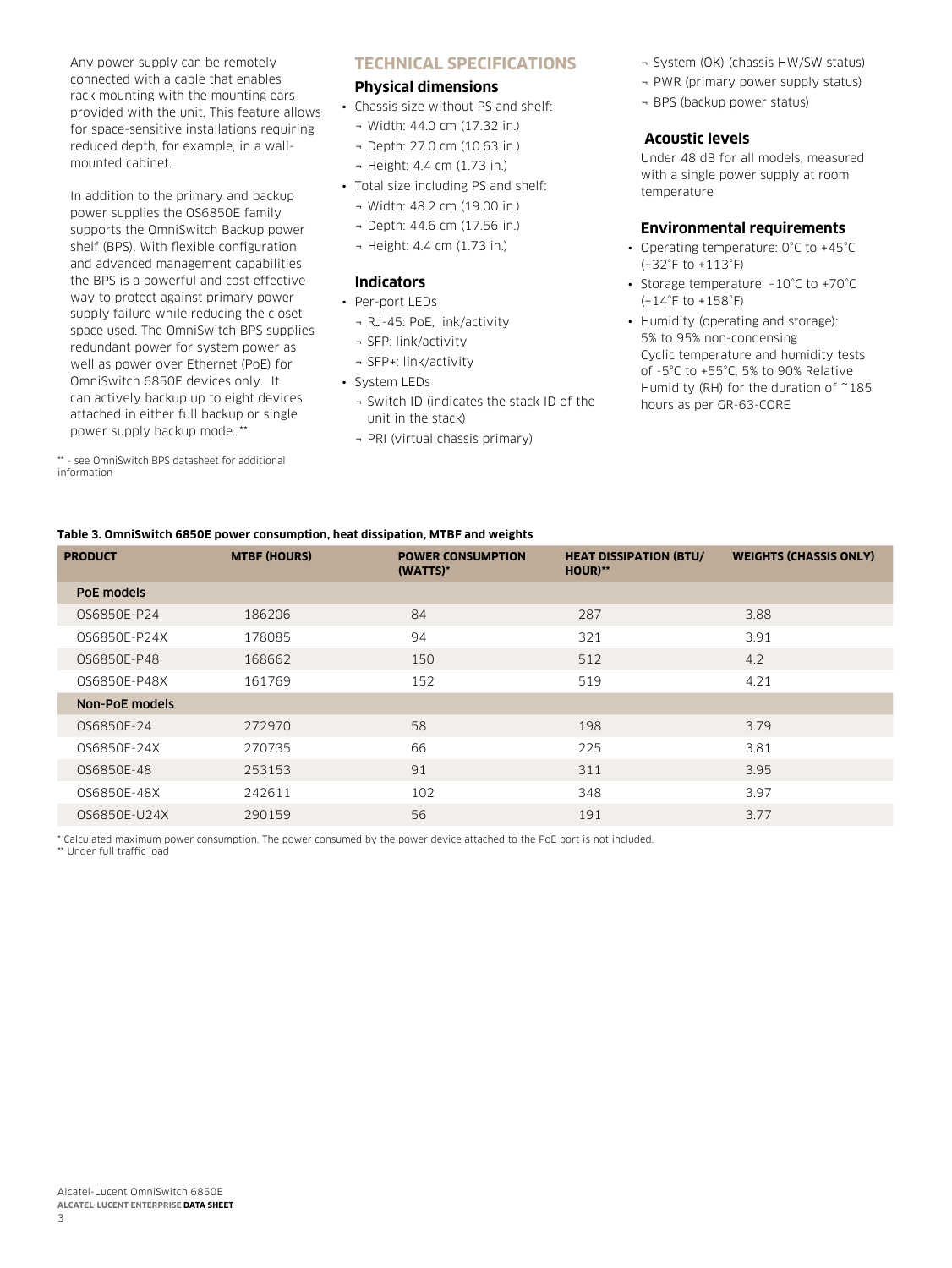Any power supply can be remotely connected with a cable that enables rack mounting with the mounting ears provided with the unit. This feature allows for space-sensitive installations requiring reduced depth, for example, in a wallmounted cabinet.

In addition to the primary and backup power supplies the OS6850E family supports the OmniSwitch Backup power shelf (BPS). With flexible configuration and advanced management capabilities the BPS is a powerful and cost effective way to protect against primary power supply failure while reducing the closet space used. The OmniSwitch BPS supplies redundant power for system power as well as power over Ethernet (PoE) for OmniSwitch 6850E devices only. It can actively backup up to eight devices attached in either full backup or single power supply backup mode. \*\*

\*\* - see OmniSwitch BPS datasheet for additional information

## **Technical Specifications**

## **Physical dimensions**

- Chassis size without PS and shelf:
	- ¬ Width: 44.0 cm (17.32 in.)
	- ¬ Depth: 27.0 cm (10.63 in.)
- ¬ Height: 4.4 cm (1.73 in.)
- Total size including PS and shelf:
	- ¬ Width: 48.2 cm (19.00 in.)
	- ¬ Depth: 44.6 cm (17.56 in.)
	- ¬ Height: 4.4 cm (1.73 in.)

## **Indicators**

- Per-port LEDs
	- ¬ RJ-45: PoE, link/activity
	- ¬ SFP: link/activity
	- ¬ SFP+: link/activity
- System LEDs
	- ¬ Switch ID (indicates the stack ID of the unit in the stack)
	- ¬ PRI (virtual chassis primary)
- ¬ System (OK) (chassis HW/SW status)
- ¬ PWR (primary power supply status)
- ¬ BPS (backup power status)

## **Acoustic levels**

Under 48 dB for all models, measured with a single power supply at room temperature

#### **Environmental requirements**

- Operating temperature: 0°C to +45°C (+32°F to +113°F)
- Storage temperature: –10°C to +70°C  $(+14°$ F to  $+158°$ F)
- Humidity (operating and storage): 5% to 95% non-condensing Cyclic temperature and humidity tests of -5°C to +55°C, 5% to 90% Relative Humidity (RH) for the duration of ~185 hours as per GR-63-CORE

## **Table 3. OmniSwitch 6850E power consumption, heat dissipation, MTBF and weights**

| <b>PRODUCT</b> | <b>MTBF (HOURS)</b> | <b>POWER CONSUMPTION</b><br>(WATTS)* | <b>HEAT DISSIPATION (BTU/</b><br>HOUR)** | <b>WEIGHTS (CHASSIS ONLY)</b> |
|----------------|---------------------|--------------------------------------|------------------------------------------|-------------------------------|
| PoE models     |                     |                                      |                                          |                               |
| 0S6850E-P24    | 186206              | 84                                   | 287                                      | 3.88                          |
| OS6850E-P24X   | 178085              | 94                                   | 321                                      | 3.91                          |
| OS6850E-P48    | 168662              | 150                                  | 512                                      | 4.2                           |
| 0S6850E-P48X   | 161769              | 152                                  | 519                                      | 4.21                          |
| Non-PoE models |                     |                                      |                                          |                               |
| OS6850E-24     | 272970              | 58                                   | 198                                      | 3.79                          |
| OS6850E-24X    | 270735              | 66                                   | 225                                      | 3.81                          |
| OS6850E-48     | 253153              | 91                                   | 311                                      | 3.95                          |
| OS6850E-48X    | 242611              | 102                                  | 348                                      | 3.97                          |
| 0S6850E-U24X   | 290159              | 56                                   | 191                                      | 3.77                          |

\* Calculated maximum power consumption. The power consumed by the power device attached to the PoE port is not included. \*\* Under full traffic load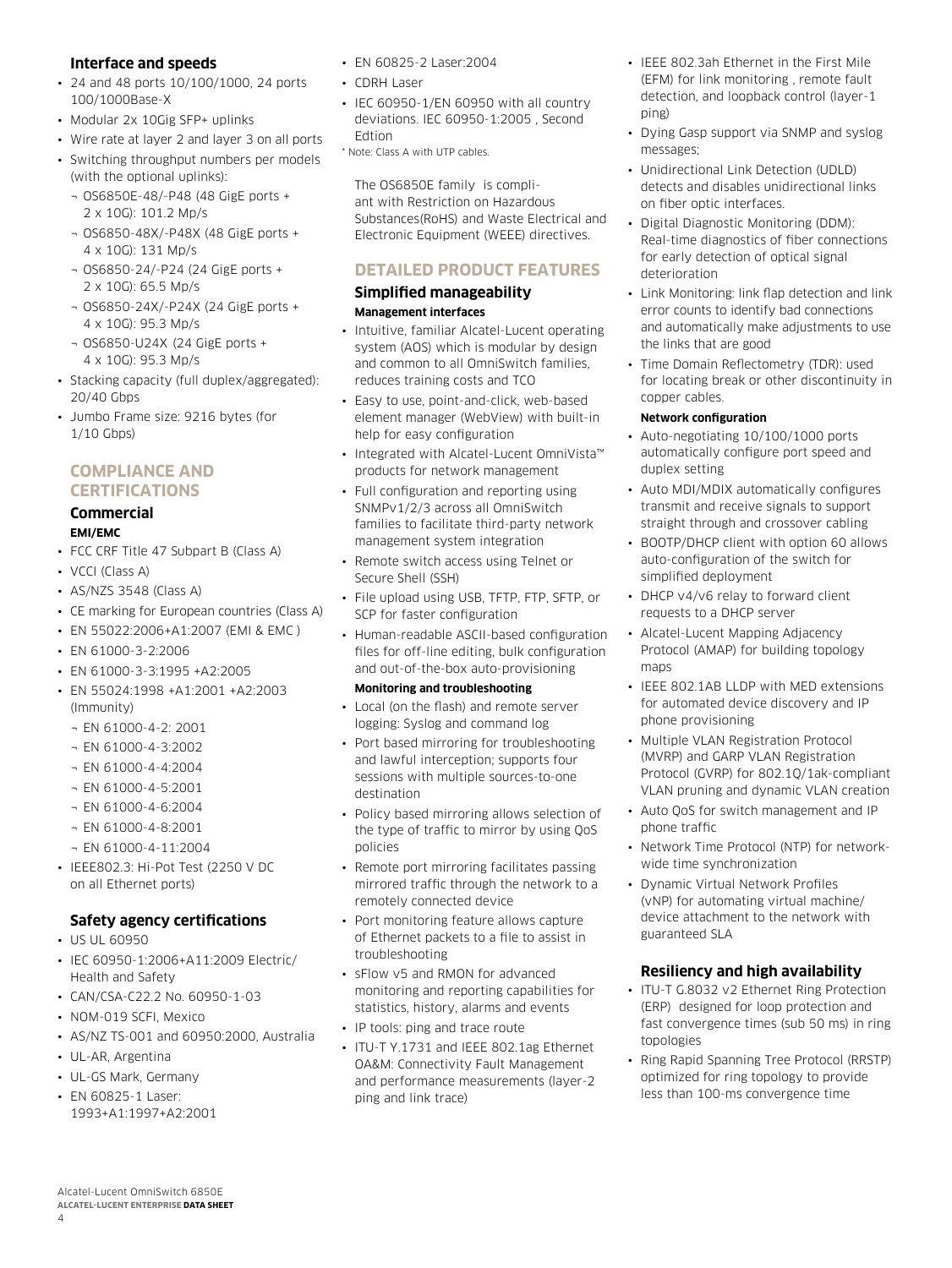## **Interface and speeds**

- 24 and 48 ports 10/100/1000, 24 ports 100/1000Base-X
- Modular 2x 10Gig SFP+ uplinks
- Wire rate at layer 2 and layer 3 on all ports
- Switching throughput numbers per models (with the optional uplinks):
	- ¬ OS6850E-48/-P48 (48 GigE ports + 2 x 10G): 101.2 Mp/s
	- ¬ OS6850-48X/-P48X (48 GigE ports + 4 x 10G): 131 Mp/s
	- ¬ OS6850-24/-P24 (24 GigE ports + 2 x 10G): 65.5 Mp/s
	- ¬ OS6850-24X/-P24X (24 GigE ports + 4 x 10G): 95.3 Mp/s
	- ¬ OS6850-U24X (24 GigE ports + 4 x 10G): 95.3 Mp/s
- Stacking capacity (full duplex/aggregated): 20/40 Gbps
- Jumbo Frame size: 9216 bytes (for 1/10 Gbps)

# **Compliance and certifications**

# **Commercial**

# **EMI/EMC**

- FCC CRF Title 47 Subpart B (Class A)
- VCCI (Class A)
- AS/NZS 3548 (Class A)
- CE marking for European countries (Class A)
- EN 55022:2006+A1:2007 (EMI & EMC )
- EN 61000-3-2:2006
- EN 61000-3-3:1995 +A2:2005
- EN 55024:1998 +A1:2001 +A2:2003 (Immunity)
	- ¬ EN 61000-4-2: 2001
	- ¬ EN 61000-4-3:2002
	- ¬ EN 61000-4-4:2004
	- $-$  FN 61000-4-5:2001
	- ¬ EN 61000-4-6:2004
	- ¬ EN 61000-4-8:2001
	- ¬ EN 61000-4-11:2004
- IEEE802.3: Hi-Pot Test (2250 V DC on all Ethernet ports)

## **Safety agency certifications**

- US UL 60950
- IEC 60950-1:2006+A11:2009 Electric/ Health and Safety
- CAN/CSA-C22.2 No. 60950-1-03
- NOM-019 SCFI, Mexico
- AS/NZ TS-001 and 60950:2000, Australia
- UL-AR, Argentina
- UL-GS Mark, Germany
- EN 60825-1 Laser: 1993+A1:1997+A2:2001
- EN 60825-2 Laser:2004
- CDRH Laser
- IEC 60950-1/EN 60950 with all country deviations. IEC 60950-1:2005 , Second Edtion
- \* Note: Class A with UTP cables.

The OS6850E family is compliant with Restriction on Hazardous Substances(RoHS) and Waste Electrical and Electronic Equipment (WEEE) directives.

# **Detailed product features**

#### **Simplified manageability Management interfaces**

- Intuitive, familiar Alcatel-Lucent operating system (AOS) which is modular by design and common to all OmniSwitch families, reduces training costs and TCO
- Easy to use, point-and-click, web-based element manager (WebView) with built-in help for easy configuration
- Integrated with Alcatel-Lucent OmniVista™ products for network management
- Full configuration and reporting using SNMPv1/2/3 across all OmniSwitch families to facilitate third-party network management system integration
- Remote switch access using Telnet or Secure Shell (SSH)
- File upload using USB, TFTP, FTP, SFTP, or SCP for faster configuration
- Human-readable ASCII-based configuration files for off-line editing, bulk configuration and out-of-the-box auto-provisioning

#### **Monitoring and troubleshooting**

- Local (on the flash) and remote server logging: Syslog and command log
- Port based mirroring for troubleshooting and lawful interception; supports four sessions with multiple sources-to-one destination
- Policy based mirroring allows selection of the type of traffic to mirror by using QoS policies
- Remote port mirroring facilitates passing mirrored traffic through the network to a remotely connected device
- Port monitoring feature allows capture of Ethernet packets to a file to assist in troubleshooting
- sFlow v5 and RMON for advanced monitoring and reporting capabilities for statistics, history, alarms and events
- IP tools: ping and trace route
- ITU-T Y.1731 and IEEE 802.1ag Ethernet OA&M: Connectivity Fault Management and performance measurements (layer-2 ping and link trace)
- IEEE 802.3ah Ethernet in the First Mile (EFM) for link monitoring , remote fault detection, and loopback control (layer-1 ping)
- Dying Gasp support via SNMP and syslog messages;
- Unidirectional Link Detection (UDLD) detects and disables unidirectional links on fiber optic interfaces.
- Digital Diagnostic Monitoring (DDM): Real-time diagnostics of fiber connections for early detection of optical signal deterioration
- Link Monitoring: link flap detection and link error counts to identify bad connections and automatically make adjustments to use the links that are good
- Time Domain Reflectometry (TDR): used for locating break or other discontinuity in copper cables.

#### **Network configuration**

- Auto-negotiating 10/100/1000 ports automatically configure port speed and duplex setting
- Auto MDI/MDIX automatically configures transmit and receive signals to support straight through and crossover cabling
- BOOTP/DHCP client with option 60 allows auto-configuration of the switch for simplified deployment
- DHCP v4/v6 relay to forward client requests to a DHCP server
- Alcatel-Lucent Mapping Adjacency Protocol (AMAP) for building topology maps
- IEEE 802.1AB LLDP with MED extensions for automated device discovery and IP phone provisioning
- Multiple VLAN Registration Protocol (MVRP) and GARP VLAN Registration Protocol (GVRP) for 802.1Q/1ak-compliant VLAN pruning and dynamic VLAN creation
- Auto QoS for switch management and IP phone traffic
- Network Time Protocol (NTP) for networkwide time synchronization
- Dynamic Virtual Network Profiles (vNP) for automating virtual machine/ device attachment to the network with guaranteed SLA

# **Resiliency and high availability**

- ITU-T G.8032 v2 Ethernet Ring Protection (ERP) designed for loop protection and fast convergence times (sub 50 ms) in ring topologies
- Ring Rapid Spanning Tree Protocol (RRSTP) optimized for ring topology to provide less than 100-ms convergence time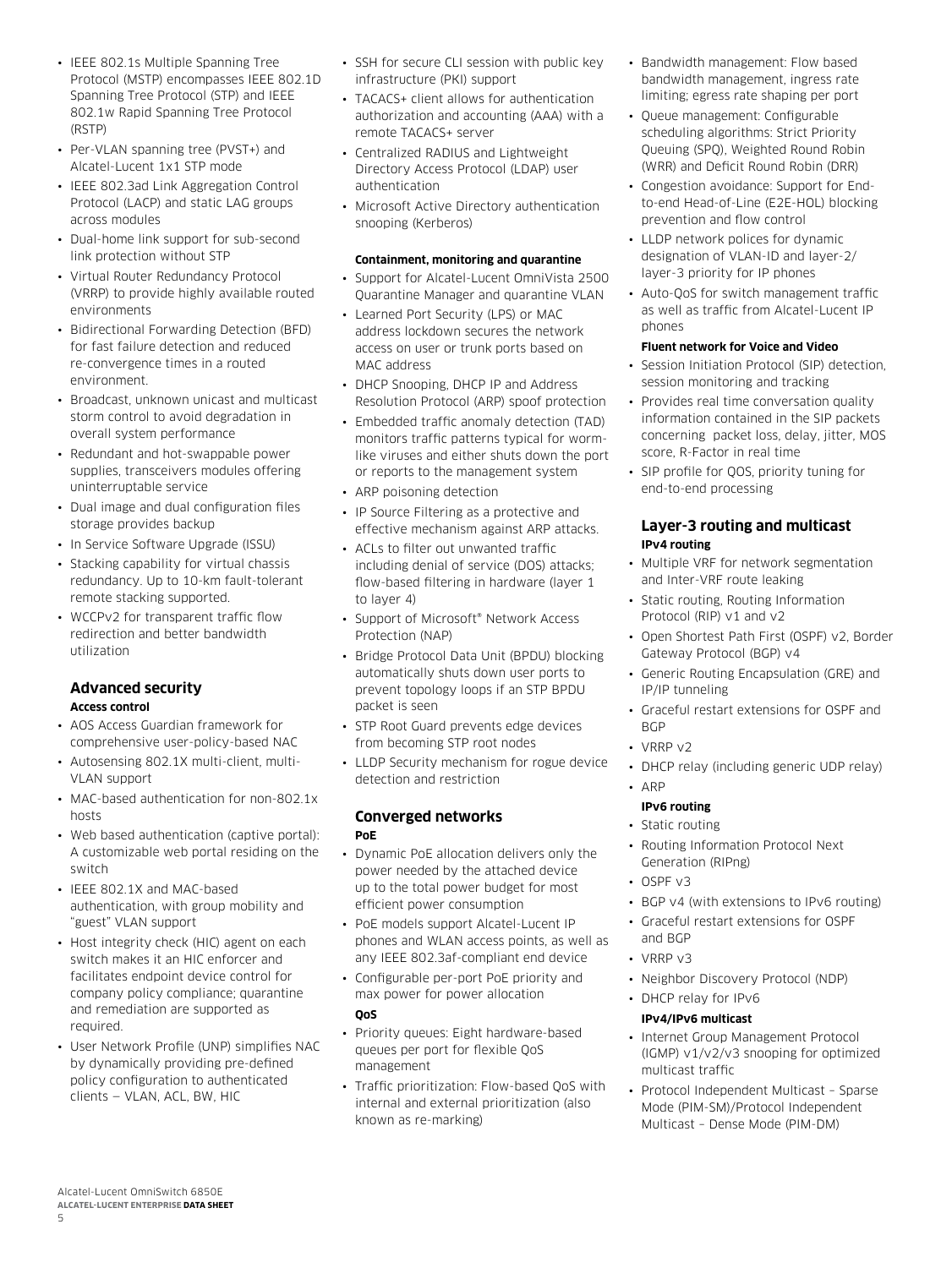- IEEE 802.1s Multiple Spanning Tree Protocol (MSTP) encompasses IEEE 802.1D Spanning Tree Protocol (STP) and IEEE 802.1w Rapid Spanning Tree Protocol (RSTP)
- Per-VLAN spanning tree (PVST+) and Alcatel-Lucent 1x1 STP mode
- IEEE 802.3ad Link Aggregation Control Protocol (LACP) and static LAG groups across modules
- Dual-home link support for sub-second link protection without STP
- Virtual Router Redundancy Protocol (VRRP) to provide highly available routed environments
- Bidirectional Forwarding Detection (BFD) for fast failure detection and reduced re-convergence times in a routed environment.
- Broadcast, unknown unicast and multicast storm control to avoid degradation in overall system performance
- Redundant and hot-swappable power supplies, transceivers modules offering uninterruptable service
- Dual image and dual configuration files storage provides backup
- In Service Software Upgrade (ISSU)
- Stacking capability for virtual chassis redundancy. Up to 10-km fault-tolerant remote stacking supported.
- WCCPv2 for transparent traffic flow redirection and better bandwidth utilization

## **Advanced security Access control**

- AOS Access Guardian framework for comprehensive user-policy-based NAC
- Autosensing 802.1X multi-client, multi-VLAN support
- MAC-based authentication for non-802.1x hosts
- Web based authentication (captive portal): A customizable web portal residing on the switch
- IEEE 802.1X and MAC-based authentication, with group mobility and "guest" VLAN support
- Host integrity check (HIC) agent on each switch makes it an HIC enforcer and facilitates endpoint device control for company policy compliance; quarantine and remediation are supported as required.
- User Network Profile (UNP) simplifies NAC by dynamically providing pre-defined policy configuration to authenticated clients — VLAN, ACL, BW, HIC
- SSH for secure CLI session with public key infrastructure (PKI) support
- TACACS+ client allows for authentication authorization and accounting (AAA) with a remote TACACS+ server
- Centralized RADIUS and Lightweight Directory Access Protocol (LDAP) user authentication
- Microsoft Active Directory authentication snooping (Kerberos)

#### **Containment, monitoring and quarantine**

- Support for Alcatel-Lucent OmniVista 2500 Quarantine Manager and quarantine VLAN
- Learned Port Security (LPS) or MAC address lockdown secures the network access on user or trunk ports based on MAC address
- DHCP Snooping, DHCP IP and Address Resolution Protocol (ARP) spoof protection
- Embedded traffic anomaly detection (TAD) monitors traffic patterns typical for wormlike viruses and either shuts down the port or reports to the management system
- ARP poisoning detection
- IP Source Filtering as a protective and effective mechanism against ARP attacks.
- ACLs to filter out unwanted traffic including denial of service (DOS) attacks; flow-based filtering in hardware (layer 1 to layer 4)
- Support of Microsoft® Network Access Protection (NAP)
- Bridge Protocol Data Unit (BPDU) blocking automatically shuts down user ports to prevent topology loops if an STP BPDU packet is seen
- STP Root Guard prevents edge devices from becoming STP root nodes
- LLDP Security mechanism for rogue device detection and restriction

#### **Converged networks PoE**

- Dynamic PoE allocation delivers only the power needed by the attached device up to the total power budget for most efficient power consumption
- PoE models support Alcatel-Lucent IP phones and WLAN access points, as well as any IEEE 802.3af-compliant end device
- Configurable per-port PoE priority and max power for power allocation **QoS**
- Priority queues: Eight hardware-based queues per port for flexible QoS management
- Traffic prioritization: Flow-based QoS with internal and external prioritization (also known as re-marking)
- Bandwidth management: Flow based bandwidth management, ingress rate limiting; egress rate shaping per port
- Queue management: Configurable scheduling algorithms: Strict Priority Queuing (SPQ), Weighted Round Robin (WRR) and Deficit Round Robin (DRR)
- Congestion avoidance: Support for Endto-end Head-of-Line (E2E-HOL) blocking prevention and flow control
- LLDP network polices for dynamic designation of VLAN-ID and layer-2/ layer-3 priority for IP phones
- Auto-QoS for switch management traffic as well as traffic from Alcatel-Lucent IP phones

## **Fluent network for Voice and Video**

- Session Initiation Protocol (SIP) detection, session monitoring and tracking
- Provides real time conversation quality information contained in the SIP packets concerning packet loss, delay, jitter, MOS score, R-Factor in real time
- SIP profile for QOS, priority tuning for end-to-end processing

## **Layer-3 routing and multicast IPv4 routing**

- Multiple VRF for network segmentation and Inter-VRF route leaking
- Static routing, Routing Information Protocol (RIP) v1 and v2
- Open Shortest Path First (OSPF) v2, Border Gateway Protocol (BGP) v4
- Generic Routing Encapsulation (GRE) and IP/IP tunneling
- Graceful restart extensions for OSPF and **BGP**
- VRRP v2
- DHCP relay (including generic UDP relay)

#### • ARP **IPv6 routing**

- Static routing
- Routing Information Protocol Next Generation (RIPng)
- OSPF v3
- BGP v4 (with extensions to IPv6 routing)
- Graceful restart extensions for OSPF and BGP
- VRRP v3
- Neighbor Discovery Protocol (NDP)
- DHCP relay for IPv6

#### **IPv4/IPv6 multicast**

- Internet Group Management Protocol (IGMP) v1/v2/v3 snooping for optimized multicast traffic
- Protocol Independent Multicast Sparse Mode (PIM-SM)/Protocol Independent Multicast – Dense Mode (PIM-DM)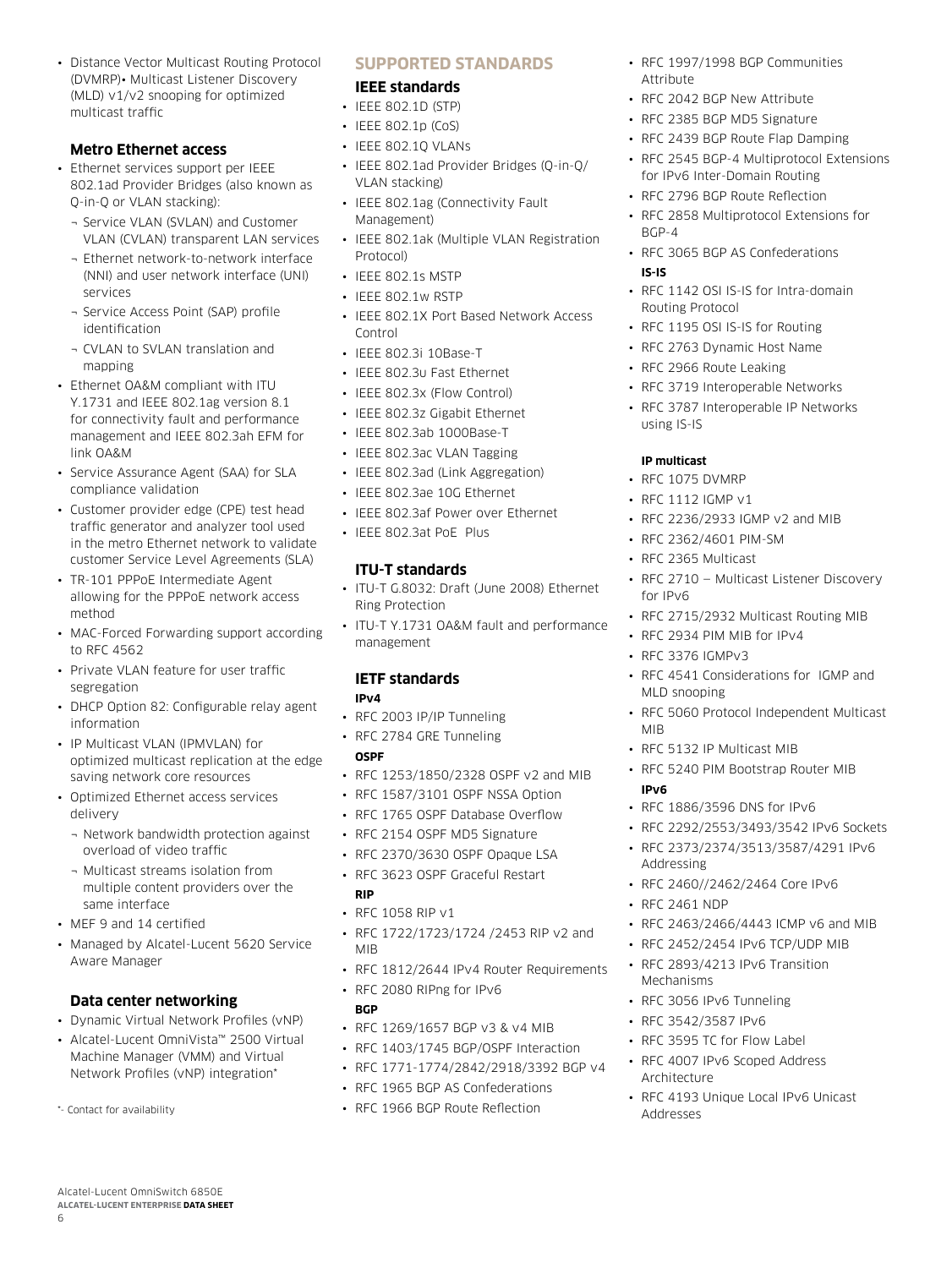• Distance Vector Multicast Routing Protocol (DVMRP)• Multicast Listener Discovery (MLD) v1/v2 snooping for optimized multicast traffic

# **Metro Ethernet access**

- Ethernet services support per IEEE 802.1ad Provider Bridges (also known as Q-in-Q or VLAN stacking):
	- ¬ Service VLAN (SVLAN) and Customer VLAN (CVLAN) transparent LAN services
	- ¬ Ethernet network-to-network interface (NNI) and user network interface (UNI) services
	- ¬ Service Access Point (SAP) profile identification
	- ¬ CVLAN to SVLAN translation and mapping
- Ethernet OA&M compliant with ITU Y.1731 and IEEE 802.1ag version 8.1 for connectivity fault and performance management and IEEE 802.3ah EFM for link OA&M
- Service Assurance Agent (SAA) for SLA compliance validation
- Customer provider edge (CPE) test head traffic generator and analyzer tool used in the metro Ethernet network to validate customer Service Level Agreements (SLA)
- TR-101 PPPoE Intermediate Agent allowing for the PPPoE network access method
- MAC-Forced Forwarding support according to RFC 4562
- Private VLAN feature for user traffic segregation
- DHCP Option 82: Configurable relay agent information
- IP Multicast VLAN (IPMVLAN) for optimized multicast replication at the edge saving network core resources
- Optimized Ethernet access services delivery
	- ¬ Network bandwidth protection against overload of video traffic
	- ¬ Multicast streams isolation from multiple content providers over the same interface
- MEF 9 and 14 certified
- Managed by Alcatel-Lucent 5620 Service Aware Manager

# **Data center networking**

- Dynamic Virtual Network Profiles (vNP)
- Alcatel-Lucent OmniVista™ 2500 Virtual Machine Manager (VMM) and Virtual Network Profiles (vNP) integration\*
- \*- Contact for availability

Alcatel-Lucent OmniSwitch 6850E **Alcatel-Lucent Enterprise Data sheet**

6

# **Supported Standards**

## **IEEE standards**

- IEEE 802.1D (STP)
- IEEE 802.1p (CoS)
- IEEE 802.1Q VLANs
- IEEE 802.1ad Provider Bridges (Q-in-Q/ VLAN stacking)
- IEEE 802.1ag (Connectivity Fault Management)
- IEEE 802.1ak (Multiple VLAN Registration Protocol)
- IEEE 802.1s MSTP
- IEEE 802.1w RSTP
- IEEE 802.1X Port Based Network Access Control
- IEEE 802.3i 10Base-T
- IEEE 802.3u Fast Ethernet
- IEEE 802.3x (Flow Control)
- IEEE 802.3z Gigabit Ethernet
- IEEE 802.3ab 1000Base-T
- IEEE 802.3ac VLAN Tagging
- IEEE 802.3ad (Link Aggregation)
- IEEE 802.3ae 10G Ethernet
- IEEE 802.3af Power over Ethernet
- IEEE 802.3at PoE Plus

# **ITU-T standards**

- ITU-T G.8032: Draft (June 2008) Ethernet Ring Protection
- ITU-T Y.1731 OA&M fault and performance management

# **IETF standards**

# **IPv4**

- RFC 2003 IP/IP Tunneling
- RFC 2784 GRE Tunneling **OSPF**
- RFC 1253/1850/2328 OSPF v2 and MIB
- RFC 1587/3101 OSPF NSSA Option
- RFC 1765 OSPF Database Overflow
- RFC 2154 OSPF MD5 Signature
- RFC 2370/3630 OSPF Opaque LSA
- RFC 3623 OSPF Graceful Restart **RIP**
- RFC 1058 RIP v1
- RFC 1722/1723/1724 /2453 RIP v2 and MIB
- RFC 1812/2644 IPv4 Router Requirements
- RFC 2080 RIPng for IPv6
- **BGP**
- RFC 1269/1657 BGP v3 & v4 MIB
- RFC 1403/1745 BGP/OSPF Interaction
- RFC 1771-1774/2842/2918/3392 BGP v4
- RFC 1965 BGP AS Confederations
- RFC 1966 BGP Route Reflection
- RFC 1997/1998 BGP Communities **Attribute**
- RFC 2042 BGP New Attribute
- RFC 2385 BGP MD5 Signature
- RFC 2439 BGP Route Flap Damping
- RFC 2545 BGP-4 Multiprotocol Extensions for IPv6 Inter-Domain Routing
- RFC 2796 BGP Route Reflection
- RFC 2858 Multiprotocol Extensions for BGP-4
- RFC 3065 BGP AS Confederations **IS-IS**
- RFC 1142 OSI IS-IS for Intra-domain Routing Protocol
- RFC 1195 OSI IS-IS for Routing
- RFC 2763 Dynamic Host Name
- RFC 2966 Route Leaking
- RFC 3719 Interoperable Networks
- RFC 3787 Interoperable IP Networks using IS-IS

## **IP multicast**

- RFC 1075 DVMRP
- RFC 1112 IGMP v1
- RFC 2236/2933 IGMP v2 and MIB
- RFC 2362/4601 PIM-SM
- RFC 2365 Multicast
- RFC 2710 Multicast Listener Discovery for IPv6
- RFC 2715/2932 Multicast Routing MIB
- RFC 2934 PIM MIB for IPv4
- RFC 3376 IGMPv3
- RFC 4541 Considerations for IGMP and MLD snooping
- RFC 5060 Protocol Independent Multicast MIB
- RFC 5132 IP Multicast MIB
- RFC 5240 PIM Bootstrap Router MIB **IPv6**
- RFC 1886/3596 DNS for IPv6
- RFC 2292/2553/3493/3542 IPv6 Sockets
- RFC 2373/2374/3513/3587/4291 IPv6 Addressing

• RFC 2463/2466/4443 ICMP v6 and MIB • RFC 2452/2454 IPv6 TCP/UDP MIB • RFC 2893/4213 IPv6 Transition

• RFC 4193 Unique Local IPv6 Unicast

• RFC 2460//2462/2464 Core IPv6

• RFC 2461 NDP

Mechanisms

Architecture

Addresses

• RFC 3056 IPv6 Tunneling • RFC 3542/3587 IPv6 • RFC 3595 TC for Flow Label • RFC 4007 IPv6 Scoped Address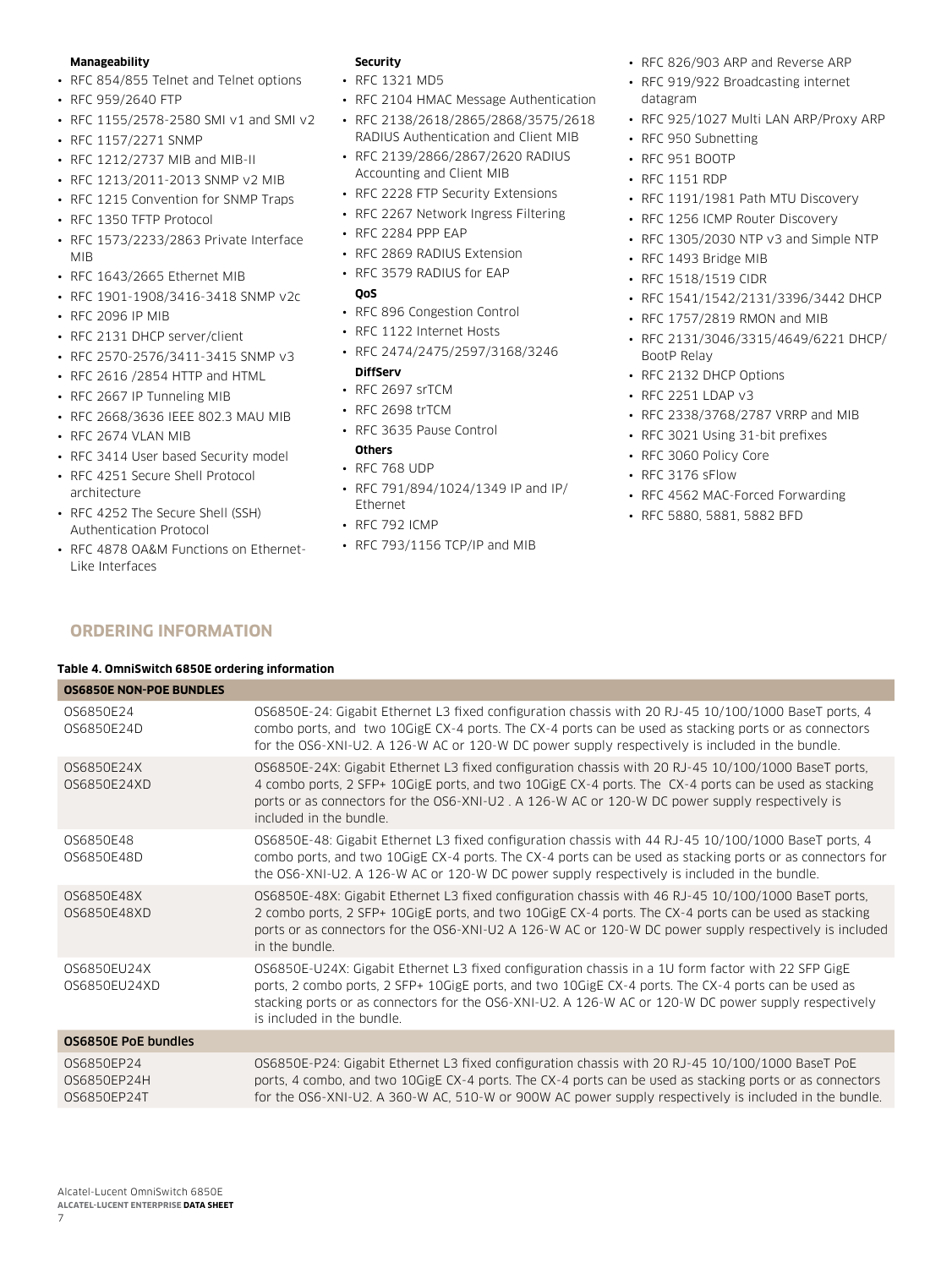#### **Manageability**

- RFC 854/855 Telnet and Telnet options
- RFC 959/2640 FTP
- RFC 1155/2578-2580 SMI v1 and SMI v2
- RFC 1157/2271 SNMP
- RFC 1212/2737 MIB and MIB-II
- RFC 1213/2011-2013 SNMP v2 MIB
- RFC 1215 Convention for SNMP Traps • RFC 1350 TFTP Protocol
- RFC 1573/2233/2863 Private Interface
- MIB • RFC 1643/2665 Ethernet MIB
- RFC 1901-1908/3416-3418 SNMP v2c
- RFC 2096 IP MIB
- RFC 2131 DHCP server/client
- RFC 2570-2576/3411-3415 SNMP v3
- RFC 2616 /2854 HTTP and HTML
- RFC 2667 IP Tunneling MIB
- RFC 2668/3636 IEEE 802.3 MAU MIB
- RFC 2674 VLAN MIB
- RFC 3414 User based Security model
- RFC 4251 Secure Shell Protocol architecture
- RFC 4252 The Secure Shell (SSH) Authentication Protocol
- RFC 4878 OA&M Functions on Ethernet-Like Interfaces

## **Security**

- RFC 1321 MD5
- RFC 2104 HMAC Message Authentication
- RFC 2138/2618/2865/2868/3575/2618 RADIUS Authentication and Client MIB
- RFC 2139/2866/2867/2620 RADIUS Accounting and Client MIB
- RFC 2228 FTP Security Extensions
- RFC 2267 Network Ingress Filtering
- RFC 2284 PPP EAP
- RFC 2869 RADIUS Extension
- RFC 3579 RADIUS for EAP

#### **QoS**

- RFC 896 Congestion Control
- RFC 1122 Internet Hosts
- RFC 2474/2475/2597/3168/3246

# **DiffServ**

- RFC 2697 srTCM
- RFC 2698 trTCM
- RFC 3635 Pause Control

# **Others**

- RFC 768 UDP
- RFC 791/894/1024/1349 IP and IP/ Ethernet
- RFC 792 ICMP
- RFC 793/1156 TCP/IP and MIB
- RFC 826/903 ARP and Reverse ARP
- RFC 919/922 Broadcasting internet datagram
- RFC 925/1027 Multi LAN ARP/Proxy ARP
- RFC 950 Subnetting
- RFC 951 BOOTP
- RFC 1151 RDP
- RFC 1191/1981 Path MTU Discovery
- RFC 1256 ICMP Router Discovery
- RFC 1305/2030 NTP v3 and Simple NTP
- RFC 1493 Bridge MIB
- RFC 1518/1519 CIDR
- RFC 1541/1542/2131/3396/3442 DHCP
- RFC 1757/2819 RMON and MIB
- RFC 2131/3046/3315/4649/6221 DHCP/ BootP Relay
- RFC 2132 DHCP Options
- RFC 2251 LDAP v3
- RFC 2338/3768/2787 VRRP and MIB
- RFC 3021 Using 31-bit prefixes
- RFC 3060 Policy Core
- RFC 3176 sFlow
- RFC 4562 MAC-Forced Forwarding
- RFC 5880, 5881, 5882 BFD

# **Ordering information**

#### **Table 4. OmniSwitch 6850E ordering information**

| <b>OS6850E NON-POE BUNDLES</b>           |                                                                                                                                                                                                                                                                                                                                                 |
|------------------------------------------|-------------------------------------------------------------------------------------------------------------------------------------------------------------------------------------------------------------------------------------------------------------------------------------------------------------------------------------------------|
| OS6850E24<br>0S6850E24D                  | OS6850E-24: Gigabit Ethernet L3 fixed configuration chassis with 20 RJ-45 10/100/1000 BaseT ports, 4<br>combo ports, and two 10GigE CX-4 ports. The CX-4 ports can be used as stacking ports or as connectors<br>for the OS6-XNI-U2. A 126-W AC or 120-W DC power supply respectively is included in the bundle.                                |
| 0S6850E24X<br>0S6850E24XD                | OS6850E-24X: Gigabit Ethernet L3 fixed configuration chassis with 20 RJ-45 10/100/1000 BaseT ports,<br>4 combo ports, 2 SFP+ 10GigE ports, and two 10GigE CX-4 ports. The CX-4 ports can be used as stacking<br>ports or as connectors for the OS6-XNI-U2, A 126-W AC or 120-W DC power supply respectively is<br>included in the bundle.       |
| 0S6850E48<br>0S6850E48D                  | OS6850E-48: Gigabit Ethernet L3 fixed configuration chassis with 44 RJ-45 10/100/1000 BaseT ports, 4<br>combo ports, and two 10GigE CX-4 ports. The CX-4 ports can be used as stacking ports or as connectors for<br>the OS6-XNI-U2. A 126-W AC or 120-W DC power supply respectively is included in the bundle.                                |
| 0S6850E48X<br>0S6850E48XD                | OS6850E-48X: Gigabit Ethernet L3 fixed configuration chassis with 46 RJ-45 10/100/1000 BaseT ports,<br>2 combo ports, 2 SFP+ 10GigE ports, and two 10GigE CX-4 ports. The CX-4 ports can be used as stacking<br>ports or as connectors for the OS6-XNI-U2 A 126-W AC or 120-W DC power supply respectively is included<br>in the bundle.        |
| 0S6850EU24X<br>0S6850EU24XD              | OS6850E-U24X: Gigabit Ethernet L3 fixed configuration chassis in a 1U form factor with 22 SFP GigE<br>ports, 2 combo ports, 2 SFP+ 10GigE ports, and two 10GigE CX-4 ports. The CX-4 ports can be used as<br>stacking ports or as connectors for the OS6-XNI-U2. A 126-W AC or 120-W DC power supply respectively<br>is included in the bundle. |
| OS6850E PoE bundles                      |                                                                                                                                                                                                                                                                                                                                                 |
| 0S6850EP24<br>0S6850EP24H<br>0S6850EP24T | OS6850E-P24: Gigabit Ethernet L3 fixed configuration chassis with 20 RJ-45 10/100/1000 BaseT PoE<br>ports, 4 combo, and two 10GigE CX-4 ports. The CX-4 ports can be used as stacking ports or as connectors<br>for the OS6-XNI-U2. A 360-W AC, 510-W or 900W AC power supply respectively is included in the bundle.                           |
|                                          |                                                                                                                                                                                                                                                                                                                                                 |